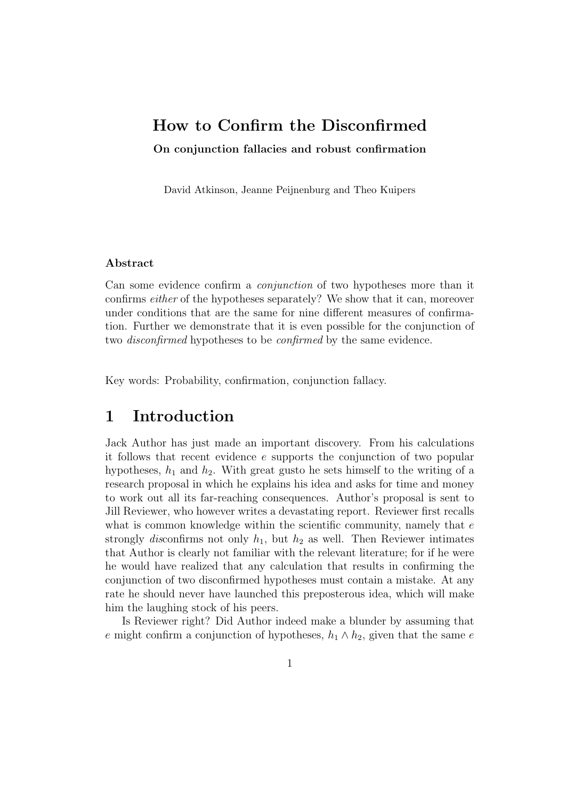# How to Confirm the Disconfirmed

On conjunction fallacies and robust confirmation

David Atkinson, Jeanne Peijnenburg and Theo Kuipers

#### Abstract

Can some evidence confirm a conjunction of two hypotheses more than it confirms either of the hypotheses separately? We show that it can, moreover under conditions that are the same for nine different measures of confirmation. Further we demonstrate that it is even possible for the conjunction of two disconfirmed hypotheses to be confirmed by the same evidence.

Key words: Probability, confirmation, conjunction fallacy.

# 1 Introduction

Jack Author has just made an important discovery. From his calculations it follows that recent evidence e supports the conjunction of two popular hypotheses,  $h_1$  and  $h_2$ . With great gusto he sets himself to the writing of a research proposal in which he explains his idea and asks for time and money to work out all its far-reaching consequences. Author's proposal is sent to Jill Reviewer, who however writes a devastating report. Reviewer first recalls what is common knowledge within the scientific community, namely that  $e$ strongly disconfirms not only  $h_1$ , but  $h_2$  as well. Then Reviewer intimates that Author is clearly not familiar with the relevant literature; for if he were he would have realized that any calculation that results in confirming the conjunction of two disconfirmed hypotheses must contain a mistake. At any rate he should never have launched this preposterous idea, which will make him the laughing stock of his peers.

Is Reviewer right? Did Author indeed make a blunder by assuming that e might confirm a conjunction of hypotheses,  $h_1 \wedge h_2$ , given that the same e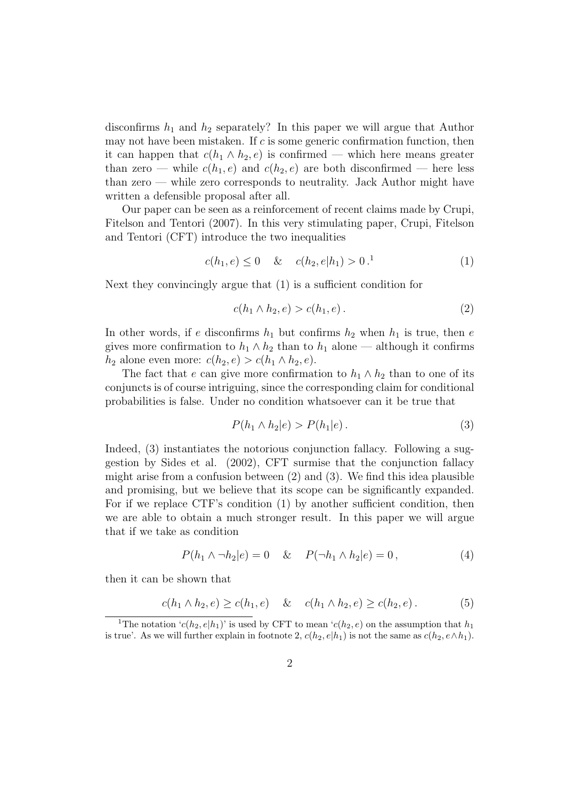disconfirms  $h_1$  and  $h_2$  separately? In this paper we will argue that Author may not have been mistaken. If  $c$  is some generic confirmation function, then it can happen that  $c(h_1 \wedge h_2, e)$  is confirmed — which here means greater than zero — while  $c(h_1, e)$  and  $c(h_2, e)$  are both disconfirmed — here less than zero — while zero corresponds to neutrality. Jack Author might have written a defensible proposal after all.

Our paper can be seen as a reinforcement of recent claims made by Crupi, Fitelson and Tentori (2007). In this very stimulating paper, Crupi, Fitelson and Tentori (CFT) introduce the two inequalities

$$
c(h_1, e) \le 0 \quad & c(h_2, e|h_1) > 0.1 \tag{1}
$$

Next they convincingly argue that (1) is a sufficient condition for

$$
c(h_1 \wedge h_2, e) > c(h_1, e).
$$
 (2)

In other words, if e disconfirms  $h_1$  but confirms  $h_2$  when  $h_1$  is true, then e gives more confirmation to  $h_1 \wedge h_2$  than to  $h_1$  alone — although it confirms  $h_2$  alone even more:  $c(h_2, e) > c(h_1 \wedge h_2, e)$ .

The fact that e can give more confirmation to  $h_1 \wedge h_2$  than to one of its conjuncts is of course intriguing, since the corresponding claim for conditional probabilities is false. Under no condition whatsoever can it be true that

$$
P(h_1 \wedge h_2 | e) > P(h_1 | e).
$$
 (3)

Indeed, (3) instantiates the notorious conjunction fallacy. Following a suggestion by Sides et al. (2002), CFT surmise that the conjunction fallacy might arise from a confusion between  $(2)$  and  $(3)$ . We find this idea plausible and promising, but we believe that its scope can be significantly expanded. For if we replace CTF's condition (1) by another sufficient condition, then we are able to obtain a much stronger result. In this paper we will argue that if we take as condition

$$
P(h_1 \wedge \neg h_2 | e) = 0 \quad & P(\neg h_1 \wedge h_2 | e) = 0 \tag{4}
$$

then it can be shown that

$$
c(h_1 \wedge h_2, e) \ge c(h_1, e) \quad \& \quad c(h_1 \wedge h_2, e) \ge c(h_2, e). \tag{5}
$$

<sup>&</sup>lt;sup>1</sup>The notation ' $c(h_2, e|h_1)$ ' is used by CFT to mean ' $c(h_2, e)$  on the assumption that  $h_1$ is true'. As we will further explain in footnote 2,  $c(h_2, e|h_1)$  is not the same as  $c(h_2, e \wedge h_1)$ .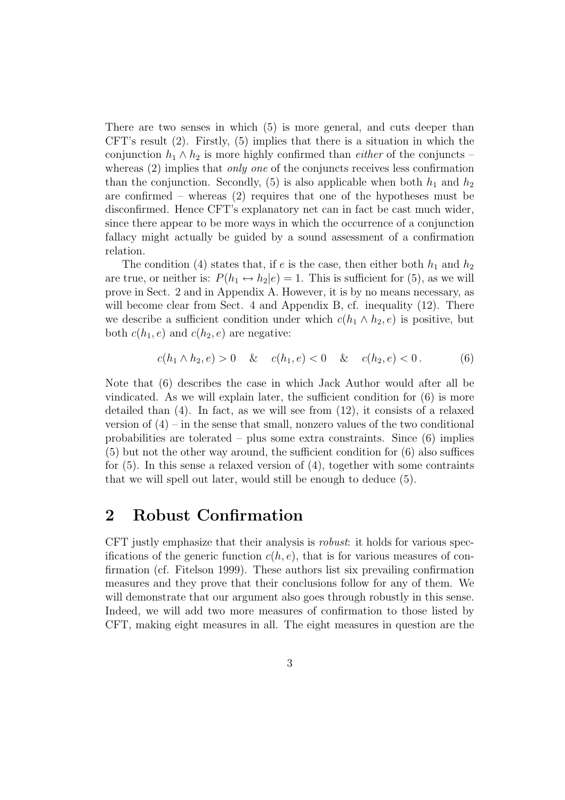There are two senses in which (5) is more general, and cuts deeper than CFT's result  $(2)$ . Firstly,  $(5)$  implies that there is a situation in which the conjunction  $h_1 \wedge h_2$  is more highly confirmed than *either* of the conjuncts – whereas (2) implies that *only one* of the conjuncts receives less confirmation than the conjunction. Secondly, (5) is also applicable when both  $h_1$  and  $h_2$ are confirmed – whereas (2) requires that one of the hypotheses must be disconfirmed. Hence CFT's explanatory net can in fact be cast much wider, since there appear to be more ways in which the occurrence of a conjunction fallacy might actually be guided by a sound assessment of a confirmation relation.

The condition (4) states that, if e is the case, then either both  $h_1$  and  $h_2$ are true, or neither is:  $P(h_1 \leftrightarrow h_2 | e) = 1$ . This is sufficient for (5), as we will prove in Sect. 2 and in Appendix A. However, it is by no means necessary, as will become clear from Sect. 4 and Appendix B, cf. inequality  $(12)$ . There we describe a sufficient condition under which  $c(h_1 \wedge h_2, e)$  is positive, but both  $c(h_1, e)$  and  $c(h_2, e)$  are negative:

$$
c(h_1 \wedge h_2, e) > 0 \quad & \quad c(h_1, e) < 0 \quad & \quad c(h_2, e) < 0. \tag{6}
$$

Note that (6) describes the case in which Jack Author would after all be vindicated. As we will explain later, the sufficient condition for (6) is more detailed than (4). In fact, as we will see from (12), it consists of a relaxed version of  $(4)$  – in the sense that small, nonzero values of the two conditional probabilities are tolerated – plus some extra constraints. Since (6) implies (5) but not the other way around, the sufficient condition for (6) also suffices for (5). In this sense a relaxed version of (4), together with some contraints that we will spell out later, would still be enough to deduce (5).

#### 2 Robust Confirmation

CFT justly emphasize that their analysis is robust: it holds for various specifications of the generic function  $c(h, e)$ , that is for various measures of confirmation (cf. Fitelson 1999). These authors list six prevailing confirmation measures and they prove that their conclusions follow for any of them. We will demonstrate that our argument also goes through robustly in this sense. Indeed, we will add two more measures of confirmation to those listed by CFT, making eight measures in all. The eight measures in question are the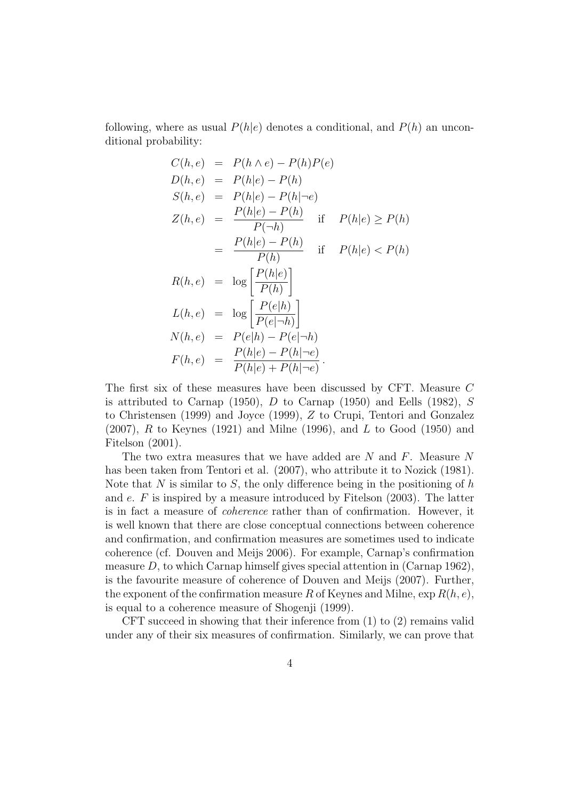following, where as usual  $P(h|e)$  denotes a conditional, and  $P(h)$  an unconditional probability:

$$
C(h, e) = P(h \wedge e) - P(h)P(e)
$$
  
\n
$$
D(h, e) = P(h|e) - P(h)
$$
  
\n
$$
S(h, e) = P(h|e) - P(h|\neg e)
$$
  
\n
$$
Z(h, e) = \frac{P(h|e) - P(h)}{P(\neg h)}
$$
 if  $P(h|e) \ge P(h)$   
\n
$$
= \frac{P(h|e) - P(h)}{P(h)}
$$
 if  $P(h|e) < P(h)$   
\n
$$
R(h, e) = \log \left[\frac{P(h|e)}{P(h)}\right]
$$
  
\n
$$
L(h, e) = \log \left[\frac{P(e|h)}{P(e|\neg h)}\right]
$$
  
\n
$$
N(h, e) = P(e|h) - P(e|\neg h)
$$
  
\n
$$
F(h, e) = \frac{P(h|e) - P(h|\neg e)}{P(h|e) + P(h|\neg e)}.
$$

The first six of these measures have been discussed by CFT. Measure C is attributed to Carnap (1950), D to Carnap (1950) and Eells (1982), S to Christensen (1999) and Joyce (1999), Z to Crupi, Tentori and Gonzalez  $(2007)$ , R to Keynes (1921) and Milne (1996), and L to Good (1950) and Fitelson (2001).

The two extra measures that we have added are N and F. Measure N has been taken from Tentori et al. (2007), who attribute it to Nozick (1981). Note that N is similar to S, the only difference being in the positioning of  $h$ and  $e$ .  $F$  is inspired by a measure introduced by Fitelson (2003). The latter is in fact a measure of coherence rather than of confirmation. However, it is well known that there are close conceptual connections between coherence and confirmation, and confirmation measures are sometimes used to indicate coherence (cf. Douven and Meijs 2006). For example, Carnap's confirmation measure  $D$ , to which Carnap himself gives special attention in  $(Carnap 1962)$ , is the favourite measure of coherence of Douven and Meijs (2007). Further, the exponent of the confirmation measure R of Keynes and Milne,  $\exp R(h, e)$ , is equal to a coherence measure of Shogenji (1999).

CFT succeed in showing that their inference from (1) to (2) remains valid under any of their six measures of confirmation. Similarly, we can prove that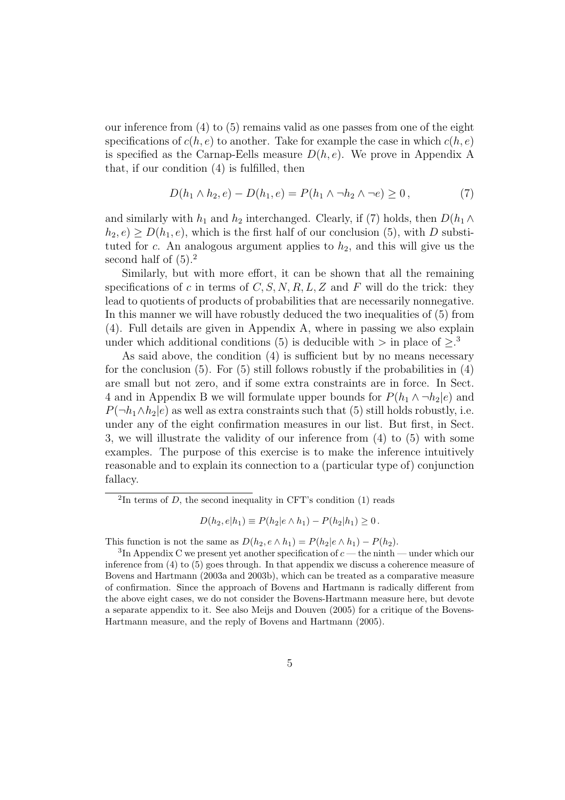our inference from (4) to (5) remains valid as one passes from one of the eight specifications of  $c(h, e)$  to another. Take for example the case in which  $c(h, e)$ is specified as the Carnap-Eells measure  $D(h, e)$ . We prove in Appendix A that, if our condition (4) is fulfilled, then

$$
D(h_1 \wedge h_2, e) - D(h_1, e) = P(h_1 \wedge \neg h_2 \wedge \neg e) \ge 0, \tag{7}
$$

and similarly with  $h_1$  and  $h_2$  interchanged. Clearly, if (7) holds, then  $D(h_1 \wedge$  $h_2, e) \ge D(h_1, e)$ , which is the first half of our conclusion (5), with D substituted for c. An analogous argument applies to  $h_2$ , and this will give us the second half of  $(5)$ .<sup>2</sup>

Similarly, but with more effort, it can be shown that all the remaining specifications of c in terms of C, S, N, R, L, Z and F will do the trick: they lead to quotients of products of probabilities that are necessarily nonnegative. In this manner we will have robustly deduced the two inequalities of (5) from (4). Full details are given in Appendix A, where in passing we also explain under which additional conditions (5) is deducible with  $>$  in place of  $\geq$ .<sup>3</sup>

As said above, the condition (4) is sufficient but by no means necessary for the conclusion  $(5)$ . For  $(5)$  still follows robustly if the probabilities in  $(4)$ are small but not zero, and if some extra constraints are in force. In Sect. 4 and in Appendix B we will formulate upper bounds for  $P(h_1 \wedge \neg h_2|e)$  and  $P(\neg h_1 \land h_2 | e)$  as well as extra constraints such that (5) still holds robustly, i.e. under any of the eight confirmation measures in our list. But first, in Sect. 3, we will illustrate the validity of our inference from (4) to (5) with some examples. The purpose of this exercise is to make the inference intuitively reasonable and to explain its connection to a (particular type of) conjunction fallacy.

 ${}^{2}$ In terms of D, the second inequality in CFT's condition (1) reads

$$
D(h_2, e|h_1) \equiv P(h_2|e \wedge h_1) - P(h_2|h_1) \ge 0.
$$

This function is not the same as  $D(h_2, e \wedge h_1) = P(h_2|e \wedge h_1) - P(h_2)$ .

<sup>&</sup>lt;sup>3</sup>In Appendix C we present yet another specification of  $c$  — the ninth — under which our inference from (4) to (5) goes through. In that appendix we discuss a coherence measure of Bovens and Hartmann (2003a and 2003b), which can be treated as a comparative measure of confirmation. Since the approach of Bovens and Hartmann is radically different from the above eight cases, we do not consider the Bovens-Hartmann measure here, but devote a separate appendix to it. See also Meijs and Douven (2005) for a critique of the Bovens-Hartmann measure, and the reply of Bovens and Hartmann (2005).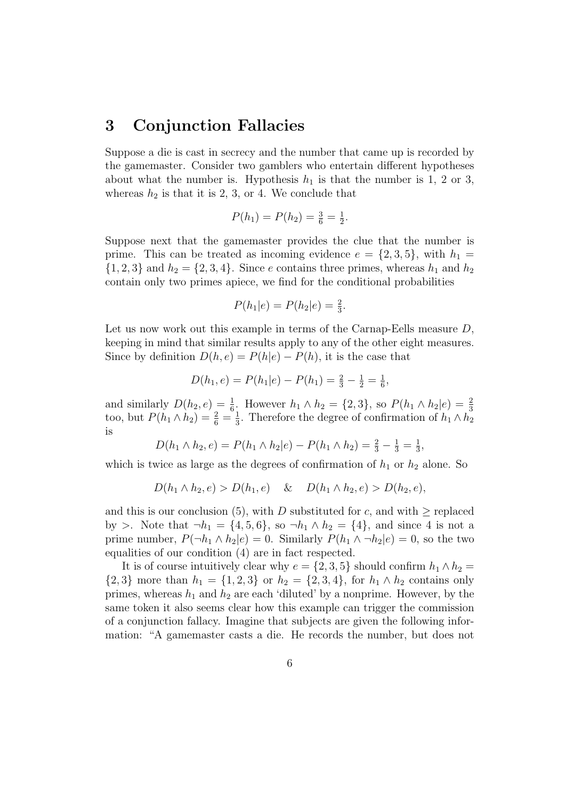## 3 Conjunction Fallacies

Suppose a die is cast in secrecy and the number that came up is recorded by the gamemaster. Consider two gamblers who entertain different hypotheses about what the number is. Hypothesis  $h_1$  is that the number is 1, 2 or 3, whereas  $h_2$  is that it is 2, 3, or 4. We conclude that

$$
P(h_1) = P(h_2) = \frac{3}{6} = \frac{1}{2}.
$$

Suppose next that the gamemaster provides the clue that the number is prime. This can be treated as incoming evidence  $e = \{2, 3, 5\}$ , with  $h_1 =$  $\{1, 2, 3\}$  and  $h_2 = \{2, 3, 4\}$ . Since e contains three primes, whereas  $h_1$  and  $h_2$ contain only two primes apiece, we find for the conditional probabilities

$$
P(h_1|e) = P(h_2|e) = \frac{2}{3}.
$$

Let us now work out this example in terms of the Carnap-Eells measure D, keeping in mind that similar results apply to any of the other eight measures. Since by definition  $D(h, e) = P(h|e) - P(h)$ , it is the case that

$$
D(h_1, e) = P(h_1|e) - P(h_1) = \frac{2}{3} - \frac{1}{2} = \frac{1}{6},
$$

and similarly  $D(h_2, e) = \frac{1}{6}$ . However  $h_1 \wedge h_2 = \{2, 3\}$ , so  $P(h_1 \wedge h_2 | e) = \frac{2}{3}$ <br>too, but  $P(h_1 \wedge h_2) = \frac{2}{6} = \frac{1}{3}$ . Therefore the degree of confirmation of  $h_1 \wedge h_2$  $\frac{1}{3}$ . Therefore the degree of confirmation of  $h_1 \wedge h_2$ is

$$
D(h_1 \wedge h_2, e) = P(h_1 \wedge h_2|e) - P(h_1 \wedge h_2) = \frac{2}{3} - \frac{1}{3} = \frac{1}{3},
$$

which is twice as large as the degrees of confirmation of  $h_1$  or  $h_2$  alone. So

$$
D(h_1 \wedge h_2, e) > D(h_1, e) \quad \& \quad D(h_1 \wedge h_2, e) > D(h_2, e),
$$

and this is our conclusion (5), with D substituted for c, and with  $\geq$  replaced by >. Note that  $\neg h_1 = \{4, 5, 6\}$ , so  $\neg h_1 \wedge h_2 = \{4\}$ , and since 4 is not a prime number,  $P(\neg h_1 \land h_2 | e) = 0$ . Similarly  $P(h_1 \land \neg h_2 | e) = 0$ , so the two equalities of our condition (4) are in fact respected.

It is of course intuitively clear why  $e = \{2, 3, 5\}$  should confirm  $h_1 \wedge h_2 =$  ${2, 3}$  more than  $h_1 = {1, 2, 3}$  or  $h_2 = {2, 3, 4}$ , for  $h_1 \wedge h_2$  contains only primes, whereas  $h_1$  and  $h_2$  are each 'diluted' by a nonprime. However, by the same token it also seems clear how this example can trigger the commission of a conjunction fallacy. Imagine that subjects are given the following information: "A gamemaster casts a die. He records the number, but does not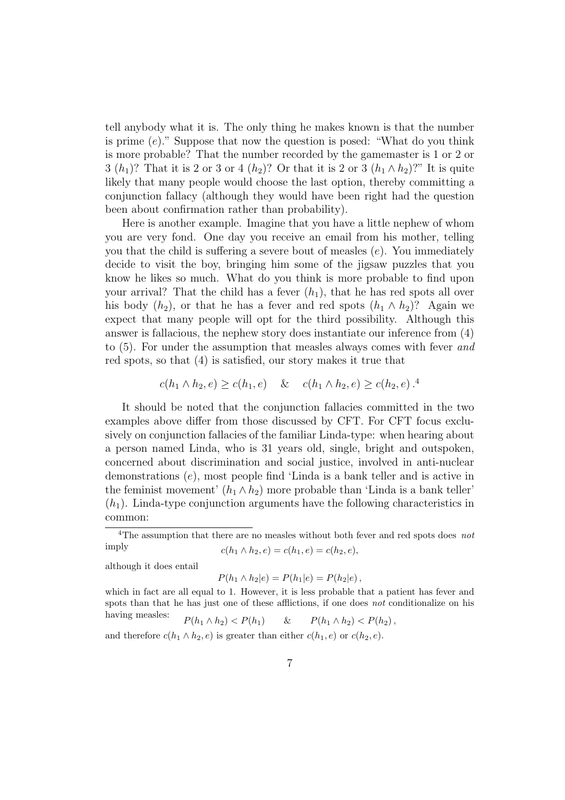tell anybody what it is. The only thing he makes known is that the number is prime  $(e)$ ." Suppose that now the question is posed: "What do you think is more probable? That the number recorded by the gamemaster is 1 or 2 or 3  $(h_1)$ ? That it is 2 or 3 or 4  $(h_2)$ ? Or that it is 2 or 3  $(h_1 \wedge h_2)$ ?" It is quite likely that many people would choose the last option, thereby committing a conjunction fallacy (although they would have been right had the question been about confirmation rather than probability).

Here is another example. Imagine that you have a little nephew of whom you are very fond. One day you receive an email from his mother, telling you that the child is suffering a severe bout of measles  $(e)$ . You immediately decide to visit the boy, bringing him some of the jigsaw puzzles that you know he likes so much. What do you think is more probable to find upon your arrival? That the child has a fever  $(h_1)$ , that he has red spots all over his body  $(h_2)$ , or that he has a fever and red spots  $(h_1 \wedge h_2)$ ? Again we expect that many people will opt for the third possibility. Although this answer is fallacious, the nephew story does instantiate our inference from (4) to (5). For under the assumption that measles always comes with fever and red spots, so that (4) is satisfied, our story makes it true that

$$
c(h_1 \wedge h_2, e) \ge c(h_1, e) \quad \& \quad c(h_1 \wedge h_2, e) \ge c(h_2, e).
$$

It should be noted that the conjunction fallacies committed in the two examples above differ from those discussed by CFT. For CFT focus exclusively on conjunction fallacies of the familiar Linda-type: when hearing about a person named Linda, who is 31 years old, single, bright and outspoken, concerned about discrimination and social justice, involved in anti-nuclear demonstrations (e), most people find 'Linda is a bank teller and is active in the feminist movement'  $(h_1 \wedge h_2)$  more probable than 'Linda is a bank teller'  $(h_1)$ . Linda-type conjunction arguments have the following characteristics in common:

although it does entail

$$
P(h_1 \wedge h_2|e) = P(h_1|e) = P(h_2|e),
$$

which in fact are all equal to 1. However, it is less probable that a patient has fever and spots than that he has just one of these afflictions, if one does not conditionalize on his having measles:  $P(h_1 \wedge h_2) < P(h_1) \quad \& P(h_1 \wedge h_2) < P(h_2),$ 

and therefore  $c(h_1 \wedge h_2, e)$  is greater than either  $c(h_1, e)$  or  $c(h_2, e)$ .

<sup>&</sup>lt;sup>4</sup>The assumption that there are no measles without both fever and red spots does *not* imply  $c(h_1 \wedge h_2, e) = c(h_1, e) = c(h_2, e),$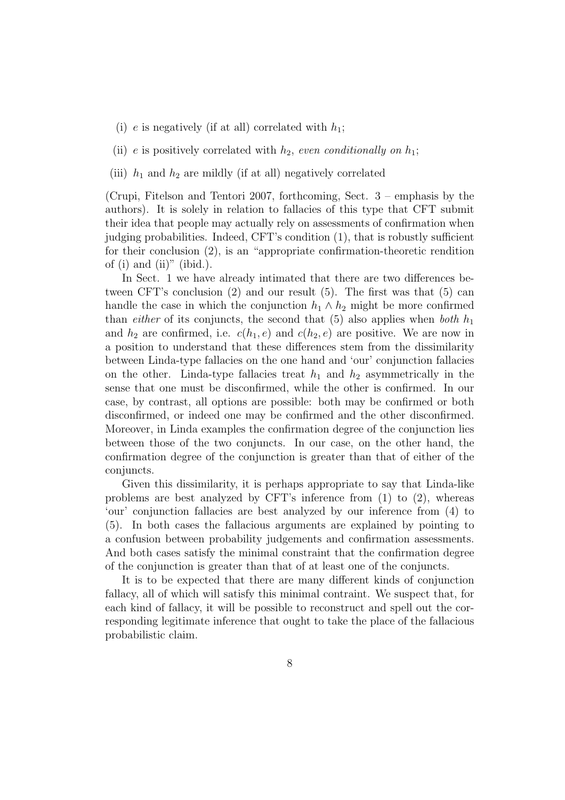- (i) e is negatively (if at all) correlated with  $h_1$ ;
- (ii) e is positively correlated with  $h_2$ , even conditionally on  $h_1$ ;
- (iii)  $h_1$  and  $h_2$  are mildly (if at all) negatively correlated

(Crupi, Fitelson and Tentori 2007, forthcoming, Sect. 3 – emphasis by the authors). It is solely in relation to fallacies of this type that CFT submit their idea that people may actually rely on assessments of confirmation when judging probabilities. Indeed, CFT's condition (1), that is robustly sufficient for their conclusion (2), is an "appropriate confirmation-theoretic rendition of  $(i)$  and  $(ii)$ "  $(ibid.)$ .

In Sect. 1 we have already intimated that there are two differences between CFT's conclusion (2) and our result (5). The first was that (5) can handle the case in which the conjunction  $h_1 \wedge h_2$  might be more confirmed than *either* of its conjuncts, the second that  $(5)$  also applies when *both*  $h_1$ and  $h_2$  are confirmed, i.e.  $c(h_1, e)$  and  $c(h_2, e)$  are positive. We are now in a position to understand that these differences stem from the dissimilarity between Linda-type fallacies on the one hand and 'our' conjunction fallacies on the other. Linda-type fallacies treat  $h_1$  and  $h_2$  asymmetrically in the sense that one must be disconfirmed, while the other is confirmed. In our case, by contrast, all options are possible: both may be confirmed or both disconfirmed, or indeed one may be confirmed and the other disconfirmed. Moreover, in Linda examples the confirmation degree of the conjunction lies between those of the two conjuncts. In our case, on the other hand, the confirmation degree of the conjunction is greater than that of either of the conjuncts.

Given this dissimilarity, it is perhaps appropriate to say that Linda-like problems are best analyzed by CFT's inference from  $(1)$  to  $(2)$ , whereas 'our' conjunction fallacies are best analyzed by our inference from (4) to (5). In both cases the fallacious arguments are explained by pointing to a confusion between probability judgements and confirmation assessments. And both cases satisfy the minimal constraint that the confirmation degree of the conjunction is greater than that of at least one of the conjuncts.

It is to be expected that there are many different kinds of conjunction fallacy, all of which will satisfy this minimal contraint. We suspect that, for each kind of fallacy, it will be possible to reconstruct and spell out the corresponding legitimate inference that ought to take the place of the fallacious probabilistic claim.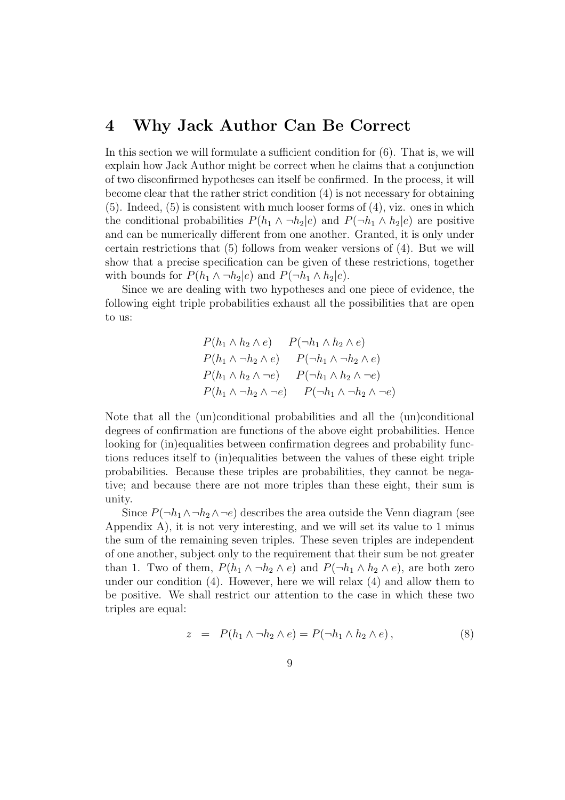#### 4 Why Jack Author Can Be Correct

In this section we will formulate a sufficient condition for  $(6)$ . That is, we will explain how Jack Author might be correct when he claims that a conjunction of two disconfirmed hypotheses can itself be confirmed. In the process, it will become clear that the rather strict condition (4) is not necessary for obtaining (5). Indeed, (5) is consistent with much looser forms of (4), viz. ones in which the conditional probabilities  $P(h_1 \wedge \neg h_2 | e)$  and  $P(\neg h_1 \wedge h_2 | e)$  are positive and can be numerically different from one another. Granted, it is only under certain restrictions that (5) follows from weaker versions of (4). But we will show that a precise specification can be given of these restrictions, together with bounds for  $P(h_1 \wedge \neg h_2 | e)$  and  $P(\neg h_1 \wedge h_2 | e)$ .

Since we are dealing with two hypotheses and one piece of evidence, the following eight triple probabilities exhaust all the possibilities that are open to us:

$$
P(h_1 \wedge h_2 \wedge e) \qquad P(\neg h_1 \wedge h_2 \wedge e)
$$
  
\n
$$
P(h_1 \wedge \neg h_2 \wedge e) \qquad P(\neg h_1 \wedge \neg h_2 \wedge e)
$$
  
\n
$$
P(h_1 \wedge h_2 \wedge \neg e) \qquad P(\neg h_1 \wedge h_2 \wedge \neg e)
$$
  
\n
$$
P(h_1 \wedge \neg h_2 \wedge \neg e) \qquad P(\neg h_1 \wedge \neg h_2 \wedge \neg e)
$$

Note that all the (un)conditional probabilities and all the (un)conditional degrees of confirmation are functions of the above eight probabilities. Hence looking for (in)equalities between confirmation degrees and probability functions reduces itself to (in)equalities between the values of these eight triple probabilities. Because these triples are probabilities, they cannot be negative; and because there are not more triples than these eight, their sum is unity.

Since  $P(\neg h_1 \wedge \neg h_2 \wedge \neg e)$  describes the area outside the Venn diagram (see Appendix A), it is not very interesting, and we will set its value to 1 minus the sum of the remaining seven triples. These seven triples are independent of one another, subject only to the requirement that their sum be not greater than 1. Two of them,  $P(h_1 \wedge \neg h_2 \wedge e)$  and  $P(\neg h_1 \wedge h_2 \wedge e)$ , are both zero under our condition (4). However, here we will relax (4) and allow them to be positive. We shall restrict our attention to the case in which these two triples are equal:

$$
z = P(h_1 \wedge \neg h_2 \wedge e) = P(\neg h_1 \wedge h_2 \wedge e), \tag{8}
$$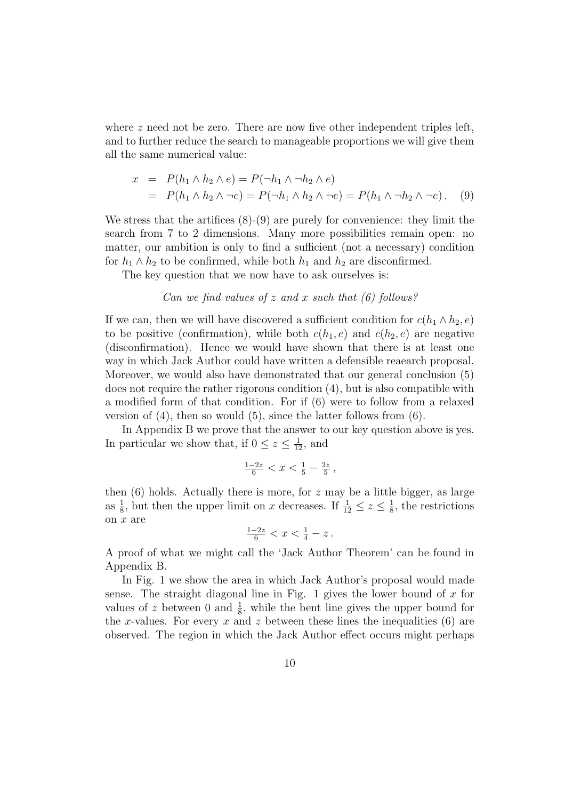where  $z$  need not be zero. There are now five other independent triples left, and to further reduce the search to manageable proportions we will give them all the same numerical value:

$$
x = P(h_1 \wedge h_2 \wedge e) = P(\neg h_1 \wedge \neg h_2 \wedge e)
$$
  
= 
$$
P(h_1 \wedge h_2 \wedge \neg e) = P(\neg h_1 \wedge h_2 \wedge \neg e) = P(h_1 \wedge \neg h_2 \wedge \neg e).
$$
 (9)

We stress that the artifices (8)-(9) are purely for convenience: they limit the search from 7 to 2 dimensions. Many more possibilities remain open: no matter, our ambition is only to find a sufficient (not a necessary) condition for  $h_1 \wedge h_2$  to be confirmed, while both  $h_1$  and  $h_2$  are disconfirmed.

The key question that we now have to ask ourselves is:

Can we find values of 
$$
z
$$
 and  $x$  such that (6) follows?

If we can, then we will have discovered a sufficient condition for  $c(h_1 \wedge h_2, e)$ to be positive (confirmation), while both  $c(h_1, e)$  and  $c(h_2, e)$  are negative (disconfirmation). Hence we would have shown that there is at least one way in which Jack Author could have written a defensible reaearch proposal. Moreover, we would also have demonstrated that our general conclusion (5) does not require the rather rigorous condition (4), but is also compatible with a modified form of that condition. For if (6) were to follow from a relaxed version of  $(4)$ , then so would  $(5)$ , since the latter follows from  $(6)$ .

In Appendix B we prove that the answer to our key question above is yes. In particular we show that, if  $0 \leq z \leq \frac{1}{12}$ , and

$$
\frac{1-2z}{6} < x < \frac{1}{5} - \frac{2z}{5} \,,
$$

then  $(6)$  holds. Actually there is more, for z may be a little bigger, as large as  $\frac{1}{8}$ , but then the upper limit on x decreases. If  $\frac{1}{12} \le z \le \frac{1}{8}$ , the restrictions on x are

$$
\frac{1-2z}{6} < x < \frac{1}{4} - z \, .
$$

A proof of what we might call the 'Jack Author Theorem' can be found in Appendix B.

In Fig. 1 we show the area in which Jack Author's proposal would made sense. The straight diagonal line in Fig. 1 gives the lower bound of  $x$  for values of z between 0 and  $\frac{1}{8}$ , while the bent line gives the upper bound for the x-values. For every x and z between these lines the inequalities  $(6)$  are observed. The region in which the Jack Author effect occurs might perhaps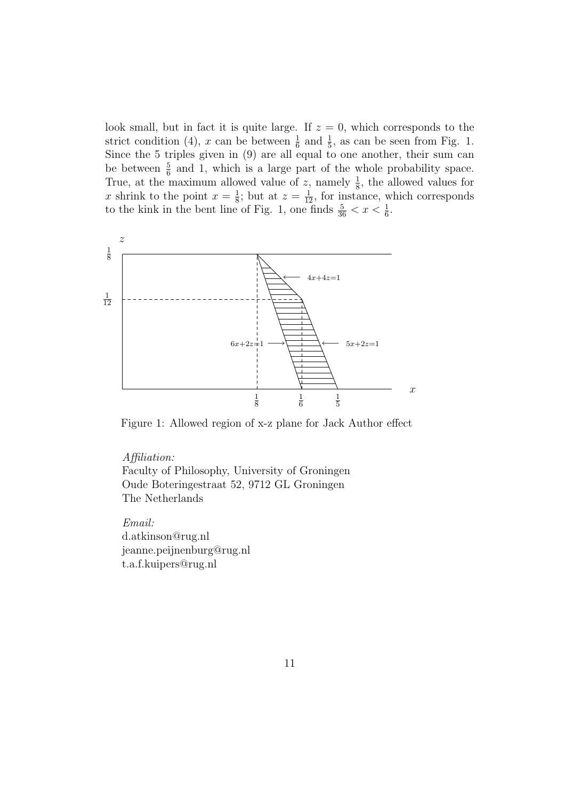look small, but in fact it is quite large. If  $z = 0$ , which corresponds to the strict condition (4), x can be between  $\frac{1}{6}$  and  $\frac{1}{5}$ , as can be seen from Fig. 1. Since the 5 triples given in (9) are all equal to one another, their sum can be between  $\frac{5}{6}$  and 1, which is a large part of the whole probability space. True, at the maximum allowed value of z, namely  $\frac{1}{8}$ , the allowed values for x shrink to the point  $x = \frac{1}{8}$ ; but at  $z = \frac{1}{12}$ , for instance, which corresponds to the kink in the bent line of Fig. 1, one finds  $\frac{5}{36} < x < \frac{1}{6}$ .



Figure 1: Allowed region of x-z plane for Jack Author effect

Affiliation: Faculty of Philosophy, University of Groningen Oude Boteringestraat 52, 9712 GL Groningen The Netherlands

Email: d.atkinson@rug.nl jeanne.peijnenburg@rug.nl t.a.f.kuipers@rug.nl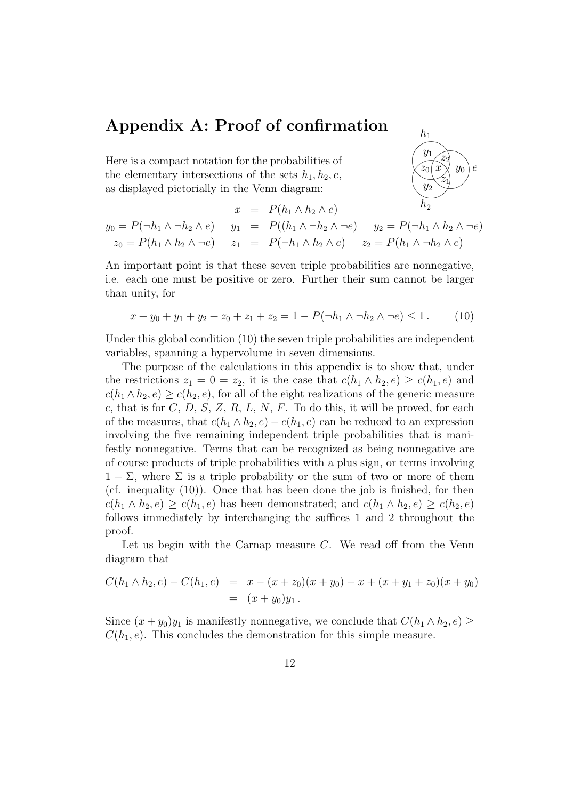## Appendix A: Proof of confirmation

Here is a compact notation for the probabilities of the elementary intersections of the sets  $h_1, h_2, e$ , as displayed pictorially in the Venn diagram:



$$
x = P(h_1 \wedge h_2 \wedge e)
$$
  
\n
$$
y_0 = P(\neg h_1 \wedge \neg h_2 \wedge e)
$$
  
\n
$$
y_1 = P((h_1 \wedge \neg h_2 \wedge \neg e)
$$
  
\n
$$
y_2 = P(\neg h_1 \wedge h_2 \wedge \neg e)
$$
  
\n
$$
z_0 = P(h_1 \wedge h_2 \wedge \neg e)
$$
  
\n
$$
z_1 = P(\neg h_1 \wedge h_2 \wedge e)
$$
  
\n
$$
z_2 = P(h_1 \wedge \neg h_2 \wedge e)
$$

An important point is that these seven triple probabilities are nonnegative, i.e. each one must be positive or zero. Further their sum cannot be larger than unity, for

$$
x + y_0 + y_1 + y_2 + z_0 + z_1 + z_2 = 1 - P(\neg h_1 \land \neg h_2 \land \neg e) \le 1. \tag{10}
$$

Under this global condition (10) the seven triple probabilities are independent variables, spanning a hypervolume in seven dimensions.

The purpose of the calculations in this appendix is to show that, under the restrictions  $z_1 = 0 = z_2$ , it is the case that  $c(h_1 \wedge h_2, e) \geq c(h_1, e)$  and  $c(h_1 \wedge h_2, e) \geq c(h_2, e)$ , for all of the eight realizations of the generic measure c, that is for  $C, D, S, Z, R, L, N, F$ . To do this, it will be proved, for each of the measures, that  $c(h_1 \wedge h_2, e) - c(h_1, e)$  can be reduced to an expression involving the five remaining independent triple probabilities that is manifestly nonnegative. Terms that can be recognized as being nonnegative are of course products of triple probabilities with a plus sign, or terms involving  $1 - \Sigma$ , where  $\Sigma$  is a triple probability or the sum of two or more of them (cf. inequality (10)). Once that has been done the job is finished, for then  $c(h_1 \wedge h_2, e) \geq c(h_1, e)$  has been demonstrated; and  $c(h_1 \wedge h_2, e) \geq c(h_2, e)$ follows immediately by interchanging the suffices 1 and 2 throughout the proof.

Let us begin with the Carnap measure  $C$ . We read off from the Venn diagram that

$$
C(h_1 \wedge h_2, e) - C(h_1, e) = x - (x + z_0)(x + y_0) - x + (x + y_1 + z_0)(x + y_0)
$$
  
=  $(x + y_0)y_1$ .

Since  $(x + y_0)y_1$  is manifestly nonnegative, we conclude that  $C(h_1 \wedge h_2, e) \geq$  $C(h_1, e)$ . This concludes the demonstration for this simple measure.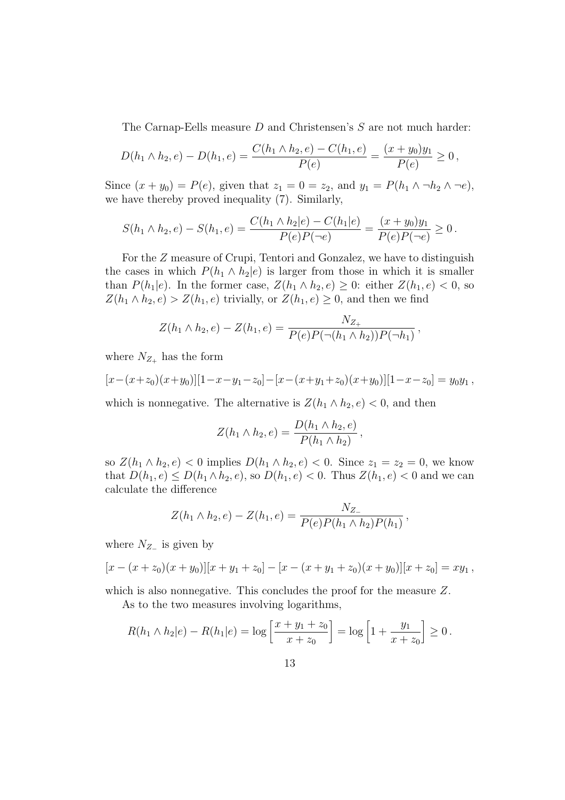The Carnap-Eells measure D and Christensen's S are not much harder:

$$
D(h_1 \wedge h_2, e) - D(h_1, e) = \frac{C(h_1 \wedge h_2, e) - C(h_1, e)}{P(e)} = \frac{(x + y_0)y_1}{P(e)} \ge 0,
$$

Since  $(x + y_0) = P(e)$ , given that  $z_1 = 0 = z_2$ , and  $y_1 = P(h_1 \wedge \neg h_2 \wedge \neg e)$ , we have thereby proved inequality (7). Similarly,

$$
S(h_1 \wedge h_2, e) - S(h_1, e) = \frac{C(h_1 \wedge h_2|e) - C(h_1|e)}{P(e)P(\neg e)} = \frac{(x + y_0)y_1}{P(e)P(\neg e)} \ge 0.
$$

For the Z measure of Crupi, Tentori and Gonzalez, we have to distinguish the cases in which  $P(h_1 \wedge h_2 | e)$  is larger from those in which it is smaller than  $P(h_1|e)$ . In the former case,  $Z(h_1 \wedge h_2, e) \geq 0$ : either  $Z(h_1, e) < 0$ , so  $Z(h_1 \wedge h_2, e) > Z(h_1, e)$  trivially, or  $Z(h_1, e) \geq 0$ , and then we find

$$
Z(h_1 \wedge h_2, e) - Z(h_1, e) = \frac{N_{Z_+}}{P(e)P(\neg(h_1 \wedge h_2))P(\neg h_1)},
$$

where  $N_{Z_+}$  has the form

$$
[x - (x + z_0)(x + y_0)][1 - x - y_1 - z_0] - [x - (x + y_1 + z_0)(x + y_0)][1 - x - z_0] = y_0y_1,
$$

which is nonnegative. The alternative is  $Z(h_1 \wedge h_2, e) < 0$ , and then

$$
Z(h_1 \wedge h_2, e) = \frac{D(h_1 \wedge h_2, e)}{P(h_1 \wedge h_2)},
$$

so  $Z(h_1 \wedge h_2, e) < 0$  implies  $D(h_1 \wedge h_2, e) < 0$ . Since  $z_1 = z_2 = 0$ , we know that  $D(h_1, e) \le D(h_1 \wedge h_2, e)$ , so  $D(h_1, e) < 0$ . Thus  $Z(h_1, e) < 0$  and we can calculate the difference

$$
Z(h_1 \wedge h_2, e) - Z(h_1, e) = \frac{N_{Z-}}{P(e)P(h_1 \wedge h_2)P(h_1)},
$$

where  $N_{Z-}$  is given by

$$
[x - (x + z_0)(x + y_0)][x + y_1 + z_0] - [x - (x + y_1 + z_0)(x + y_0)][x + z_0] = xy_1,
$$

which is also nonnegative. This concludes the proof for the measure Z.

As to the two measures involving logarithms,

$$
R(h_1 \wedge h_2|e) - R(h_1|e) = \log\left[\frac{x+y_1+z_0}{x+z_0}\right] = \log\left[1+\frac{y_1}{x+z_0}\right] \ge 0.
$$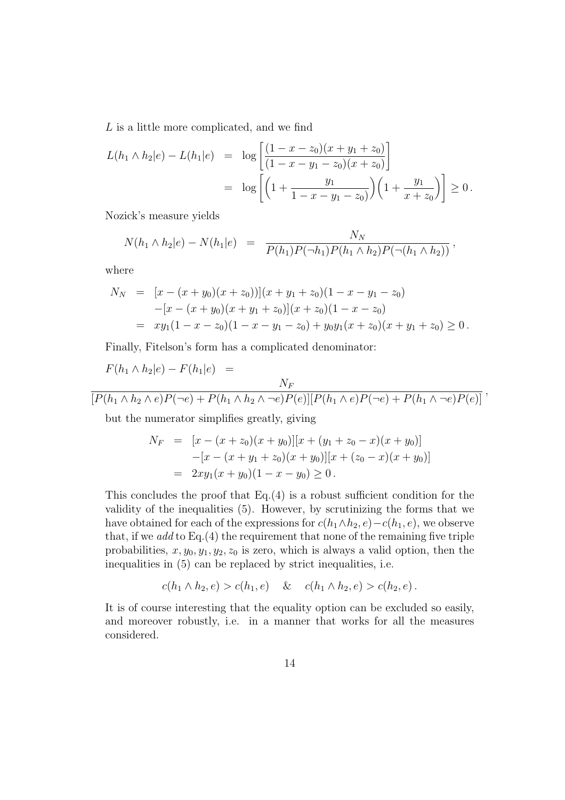L is a little more complicated, and we find

$$
L(h_1 \wedge h_2|e) - L(h_1|e) = \log \left[ \frac{(1 - x - z_0)(x + y_1 + z_0)}{(1 - x - y_1 - z_0)(x + z_0)} \right]
$$
  
= 
$$
\log \left[ \left( 1 + \frac{y_1}{1 - x - y_1 - z_0} \right) \left( 1 + \frac{y_1}{x + z_0} \right) \right] \ge 0.
$$

Nozick's measure yields

$$
N(h_1 \wedge h_2|e) - N(h_1|e) = \frac{N_N}{P(h_1)P(\neg h_1)P(h_1 \wedge h_2)P(\neg(h_1 \wedge h_2))},
$$

where

$$
N_N = [x - (x + y_0)(x + z_0))] (x + y_1 + z_0)(1 - x - y_1 - z_0)
$$
  
\n
$$
-[x - (x + y_0)(x + y_1 + z_0)] (x + z_0)(1 - x - z_0)
$$
  
\n
$$
= xy_1(1 - x - z_0)(1 - x - y_1 - z_0) + y_0y_1(x + z_0)(x + y_1 + z_0) \ge 0.
$$

Finally, Fitelson's form has a complicated denominator:

$$
F(h_1 \wedge h_2|e) - F(h_1|e) =
$$
  

$$
\frac{N_F}{[P(h_1 \wedge h_2 \wedge e)P(\neg e) + P(h_1 \wedge h_2 \wedge \neg e)P(e)][P(h_1 \wedge e)P(\neg e) + P(h_1 \wedge \neg e)P(e)]},
$$

but the numerator simplifies greatly, giving

$$
N_F = [x - (x + z_0)(x + y_0)][x + (y_1 + z_0 - x)(x + y_0)]
$$
  
\n
$$
-[x - (x + y_1 + z_0)(x + y_0)][x + (z_0 - x)(x + y_0)]
$$
  
\n
$$
= 2xy_1(x + y_0)(1 - x - y_0) \ge 0.
$$

This concludes the proof that  $Eq.(4)$  is a robust sufficient condition for the validity of the inequalities (5). However, by scrutinizing the forms that we have obtained for each of the expressions for  $c(h_1 \wedge h_2, e) - c(h_1, e)$ , we observe that, if we add to Eq. $(4)$  the requirement that none of the remaining five triple probabilities,  $x, y_0, y_1, y_2, z_0$  is zero, which is always a valid option, then the inequalities in (5) can be replaced by strict inequalities, i.e.

$$
c(h_1 \wedge h_2, e) > c(h_1, e) \quad \& \quad c(h_1 \wedge h_2, e) > c(h_2, e).
$$

It is of course interesting that the equality option can be excluded so easily, and moreover robustly, i.e. in a manner that works for all the measures considered.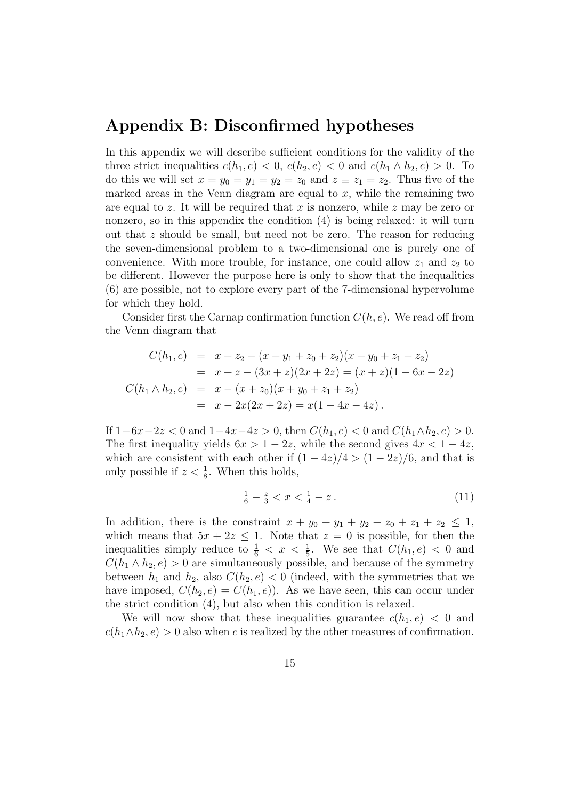#### Appendix B: Disconfirmed hypotheses

In this appendix we will describe sufficient conditions for the validity of the three strict inequalities  $c(h_1, e) < 0$ ,  $c(h_2, e) < 0$  and  $c(h_1 \wedge h_2, e) > 0$ . To do this we will set  $x = y_0 = y_1 = y_2 = z_0$  and  $z \equiv z_1 = z_2$ . Thus five of the marked areas in the Venn diagram are equal to  $x$ , while the remaining two are equal to z. It will be required that x is nonzero, while z may be zero or nonzero, so in this appendix the condition (4) is being relaxed: it will turn out that z should be small, but need not be zero. The reason for reducing the seven-dimensional problem to a two-dimensional one is purely one of convenience. With more trouble, for instance, one could allow  $z_1$  and  $z_2$  to be different. However the purpose here is only to show that the inequalities (6) are possible, not to explore every part of the 7-dimensional hypervolume for which they hold.

Consider first the Carnap confirmation function  $C(h, e)$ . We read off from the Venn diagram that

$$
C(h_1, e) = x + z_2 - (x + y_1 + z_0 + z_2)(x + y_0 + z_1 + z_2)
$$
  
=  $x + z - (3x + z)(2x + 2z) = (x + z)(1 - 6x - 2z)$   

$$
C(h_1 \wedge h_2, e) = x - (x + z_0)(x + y_0 + z_1 + z_2)
$$
  
=  $x - 2x(2x + 2z) = x(1 - 4x - 4z).$ 

If  $1-6x-2z < 0$  and  $1-4x-4z > 0$ , then  $C(h_1, e) < 0$  and  $C(h_1 \wedge h_2, e) > 0$ . The first inequality yields  $6x > 1 - 2z$ , while the second gives  $4x < 1 - 4z$ , which are consistent with each other if  $(1 - 4z)/4 > (1 - 2z)/6$ , and that is only possible if  $z < \frac{1}{8}$ . When this holds,

$$
\frac{1}{6} - \frac{z}{3} < x < \frac{1}{4} - z \,. \tag{11}
$$

In addition, there is the constraint  $x + y_0 + y_1 + y_2 + z_0 + z_1 + z_2 \le 1$ , which means that  $5x + 2z \le 1$ . Note that  $z = 0$  is possible, for then the inequalities simply reduce to  $\frac{1}{6} < x < \frac{1}{5}$ . We see that  $C(h_1, e) < 0$  and  $C(h_1 \wedge h_2, e) > 0$  are simultaneously possible, and because of the symmetry between  $h_1$  and  $h_2$ , also  $C(h_2, e) < 0$  (indeed, with the symmetries that we have imposed,  $C(h_2, e) = C(h_1, e)$ . As we have seen, this can occur under the strict condition (4), but also when this condition is relaxed.

We will now show that these inequalities guarantee  $c(h_1, e) < 0$  and  $c(h_1 \wedge h_2, e) > 0$  also when c is realized by the other measures of confirmation.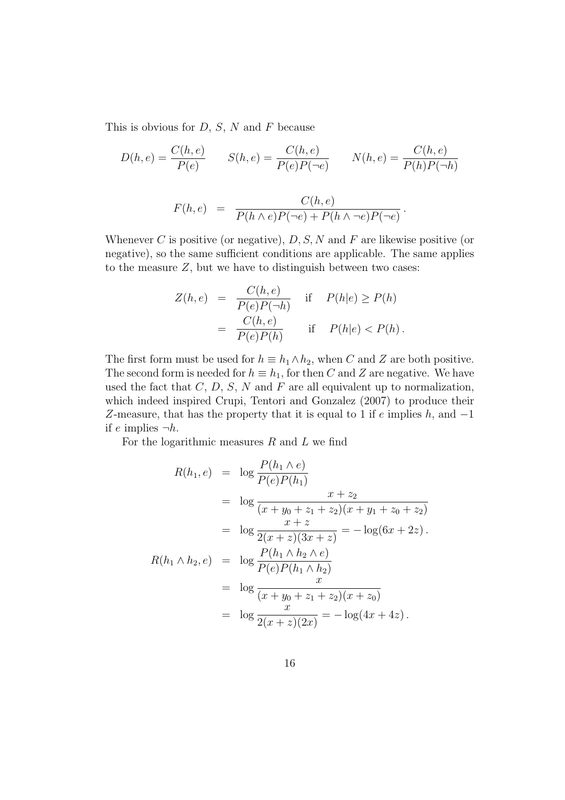This is obvious for  $D, S, N$  and F because

$$
D(h, e) = \frac{C(h, e)}{P(e)} \qquad S(h, e) = \frac{C(h, e)}{P(e)P(\neg e)} \qquad N(h, e) = \frac{C(h, e)}{P(h)P(\neg h)}
$$

$$
C(h, e)
$$

$$
F(h,e) = \frac{C(h,e)}{P(h \wedge e)P(\neg e) + P(h \wedge \neg e)P(\neg e)}.
$$

Whenever C is positive (or negative),  $D, S, N$  and F are likewise positive (or negative), so the same sufficient conditions are applicable. The same applies to the measure  $Z$ , but we have to distinguish between two cases:

$$
Z(h, e) = \frac{C(h, e)}{P(e)P(\neg h)} \quad \text{if} \quad P(h|e) \ge P(h)
$$

$$
= \frac{C(h, e)}{P(e)P(h)} \quad \text{if} \quad P(h|e) < P(h).
$$

The first form must be used for  $h \equiv h_1 \wedge h_2$ , when C and Z are both positive. The second form is needed for  $h \equiv h_1$ , for then C and Z are negative. We have used the fact that  $C, D, S, N$  and  $F$  are all equivalent up to normalization, which indeed inspired Crupi, Tentori and Gonzalez (2007) to produce their Z-measure, that has the property that it is equal to 1 if  $e$  implies  $h$ , and  $-1$ if e implies  $\neg h$ .

For the logarithmic measures  $R$  and  $L$  we find

$$
R(h_1, e) = \log \frac{P(h_1 \wedge e)}{P(e)P(h_1)}
$$
  
=  $\log \frac{x + z_2}{(x + y_0 + z_1 + z_2)(x + y_1 + z_0 + z_2)}$   
=  $\log \frac{x + z}{2(x + z)(3x + z)} = -\log(6x + 2z)$ .  

$$
R(h_1 \wedge h_2, e) = \log \frac{P(h_1 \wedge h_2 \wedge e)}{P(e)P(h_1 \wedge h_2)}
$$
  
=  $\log \frac{x}{(x + y_0 + z_1 + z_2)(x + z_0)}$   
=  $\log \frac{x}{2(x + z)(2x)} = -\log(4x + 4z)$ .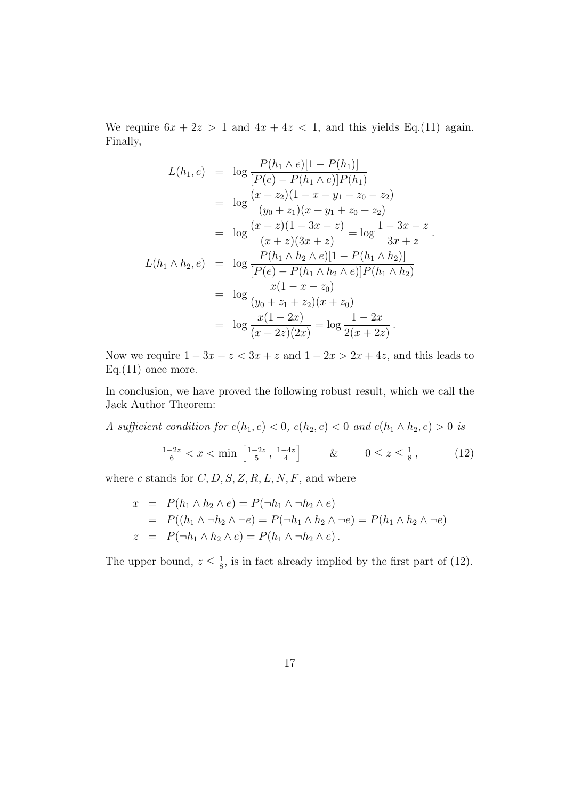We require  $6x + 2z > 1$  and  $4x + 4z < 1$ , and this yields Eq.(11) again. Finally,

$$
L(h_1, e) = \log \frac{P(h_1 \wedge e)[1 - P(h_1)]}{[P(e) - P(h_1 \wedge e)]P(h_1)}
$$
  
\n
$$
= \log \frac{(x + z_2)(1 - x - y_1 - z_0 - z_2)}{(y_0 + z_1)(x + y_1 + z_0 + z_2)}
$$
  
\n
$$
= \log \frac{(x + z)(1 - 3x - z)}{(x + z)(3x + z)} = \log \frac{1 - 3x - z}{3x + z}.
$$
  
\n
$$
L(h_1 \wedge h_2, e) = \log \frac{P(h_1 \wedge h_2 \wedge e)[1 - P(h_1 \wedge h_2)]}{[P(e) - P(h_1 \wedge h_2 \wedge e)]P(h_1 \wedge h_2)}
$$
  
\n
$$
= \log \frac{x(1 - x - z_0)}{(y_0 + z_1 + z_2)(x + z_0)}
$$
  
\n
$$
= \log \frac{x(1 - 2x)}{(x + 2z)(2x)} = \log \frac{1 - 2x}{2(x + 2z)}.
$$

Now we require  $1 - 3x - z < 3x + z$  and  $1 - 2x > 2x + 4z$ , and this leads to  $Eq.(11)$  once more.

In conclusion, we have proved the following robust result, which we call the Jack Author Theorem:

A sufficient condition for 
$$
c(h_1, e) < 0
$$
,  $c(h_2, e) < 0$  and  $c(h_1 \land h_2, e) > 0$  is

$$
\frac{1-2z}{6} < x < \min\left[\frac{1-2z}{5}, \frac{1-4z}{4}\right] \qquad \& \qquad 0 \le z \le \frac{1}{8},\tag{12}
$$

where c stands for  $C, D, S, Z, R, L, N, F$ , and where

$$
x = P(h_1 \wedge h_2 \wedge e) = P(\neg h_1 \wedge \neg h_2 \wedge e)
$$
  
= 
$$
P((h_1 \wedge \neg h_2 \wedge \neg e) = P(\neg h_1 \wedge h_2 \wedge \neg e) = P(h_1 \wedge h_2 \wedge \neg e)
$$
  

$$
z = P(\neg h_1 \wedge h_2 \wedge e) = P(h_1 \wedge \neg h_2 \wedge e).
$$

The upper bound,  $z \leq \frac{1}{8}$ , is in fact already implied by the first part of (12).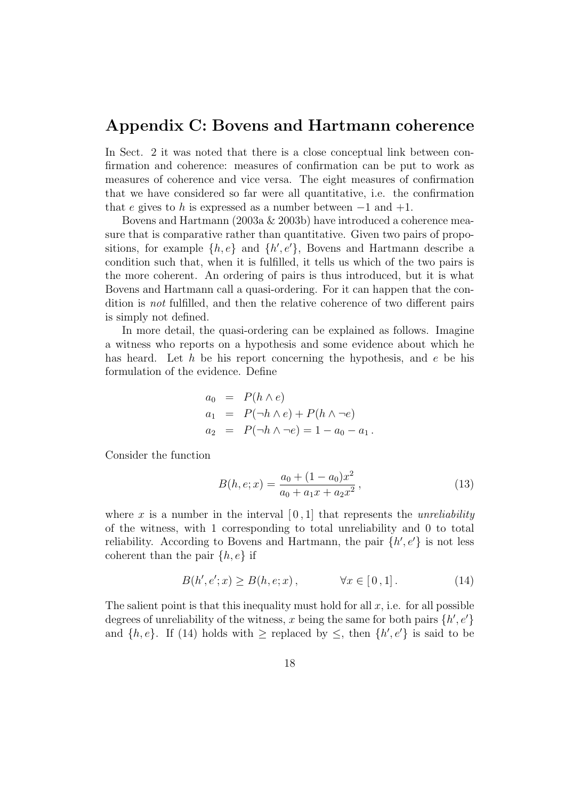#### Appendix C: Bovens and Hartmann coherence

In Sect. 2 it was noted that there is a close conceptual link between confirmation and coherence: measures of confirmation can be put to work as measures of coherence and vice versa. The eight measures of confirmation that we have considered so far were all quantitative, i.e. the confirmation that e gives to h is expressed as a number between  $-1$  and  $+1$ .

Bovens and Hartmann (2003a & 2003b) have introduced a coherence measure that is comparative rather than quantitative. Given two pairs of propositions, for example  $\{h, e\}$  and  $\{h', e'\}$ , Bovens and Hartmann describe a condition such that, when it is fulfilled, it tells us which of the two pairs is the more coherent. An ordering of pairs is thus introduced, but it is what Bovens and Hartmann call a quasi-ordering. For it can happen that the condition is not fulfilled, and then the relative coherence of two different pairs is simply not defined.

In more detail, the quasi-ordering can be explained as follows. Imagine a witness who reports on a hypothesis and some evidence about which he has heard. Let  $h$  be his report concerning the hypothesis, and  $e$  be his formulation of the evidence. Define

$$
a_0 = P(h \wedge e)
$$
  
\n
$$
a_1 = P(\neg h \wedge e) + P(h \wedge \neg e)
$$
  
\n
$$
a_2 = P(\neg h \wedge \neg e) = 1 - a_0 - a_1.
$$

Consider the function

$$
B(h, e; x) = \frac{a_0 + (1 - a_0)x^2}{a_0 + a_1x + a_2x^2},
$$
\n(13)

where x is a number in the interval  $[0, 1]$  that represents the *unreliability* of the witness, with 1 corresponding to total unreliability and 0 to total reliability. According to Bovens and Hartmann, the pair  $\{h', e'\}$  is not less coherent than the pair  $\{h, e\}$  if

$$
B(h', e'; x) \ge B(h, e; x), \qquad \forall x \in [0, 1]. \tag{14}
$$

The salient point is that this inequality must hold for all  $x$ , i.e. for all possible degrees of unreliability of the witness, x being the same for both pairs  $\{h', e'\}$ and  $\{h, e\}$ . If (14) holds with  $\geq$  replaced by  $\leq$ , then  $\{h', e'\}$  is said to be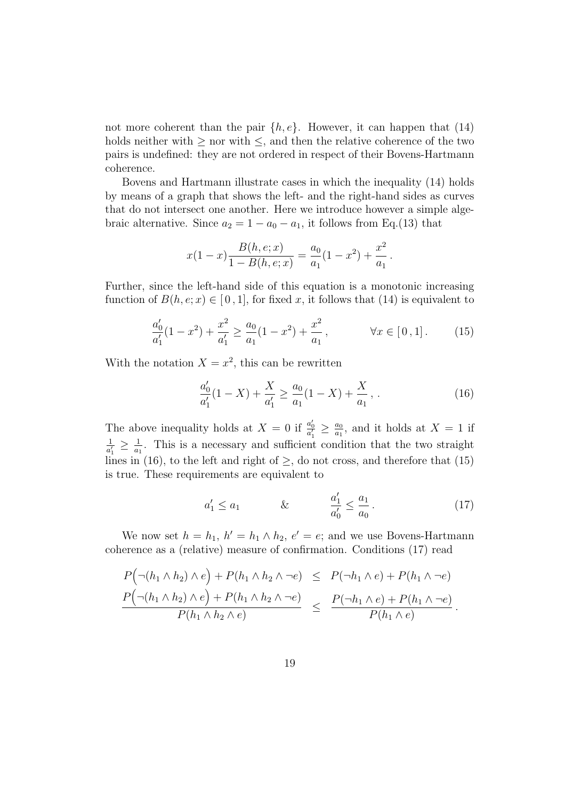not more coherent than the pair  $\{h, e\}$ . However, it can happen that (14) holds neither with  $\geq$  nor with  $\leq$ , and then the relative coherence of the two pairs is undefined: they are not ordered in respect of their Bovens-Hartmann coherence.

Bovens and Hartmann illustrate cases in which the inequality (14) holds by means of a graph that shows the left- and the right-hand sides as curves that do not intersect one another. Here we introduce however a simple algebraic alternative. Since  $a_2 = 1 - a_0 - a_1$ , it follows from Eq.(13) that

$$
x(1-x)\frac{B(h,e;x)}{1-B(h,e;x)} = \frac{a_0}{a_1}(1-x^2) + \frac{x^2}{a_1}.
$$

Further, since the left-hand side of this equation is a monotonic increasing function of  $B(h, e; x) \in [0, 1]$ , for fixed x, it follows that (14) is equivalent to

$$
\frac{a_0'}{a_1'}(1-x^2) + \frac{x^2}{a_1'} \ge \frac{a_0}{a_1}(1-x^2) + \frac{x^2}{a_1}, \qquad \forall x \in [0,1]. \tag{15}
$$

With the notation  $X = x^2$ , this can be rewritten

$$
\frac{a_0'}{a_1'}(1-X) + \frac{X}{a_1'} \ge \frac{a_0}{a_1}(1-X) + \frac{X}{a_1},
$$
\n(16)

The above inequality holds at  $X = 0$  if  $\frac{a'_0}{a'_1} \geq \frac{a_0}{a_1}$  $\frac{a_0}{a_1}$ , and it holds at  $X = 1$  if  $\frac{1}{a'_1} \geq \frac{1}{a_1}$ . This is a necessary and sufficient condition that the two straight lines in (16), to the left and right of  $\geq$ , do not cross, and therefore that (15) is true. These requirements are equivalent to

$$
a'_1 \le a_1 \qquad & \& \qquad \frac{a'_1}{a'_0} \le \frac{a_1}{a_0} \,. \tag{17}
$$

We now set  $h = h_1$ ,  $h' = h_1 \wedge h_2$ ,  $e' = e$ ; and we use Bovens-Hartmann coherence as a (relative) measure of confirmation. Conditions (17) read

$$
\frac{P(\neg(h_1 \land h_2) \land e) + P(h_1 \land h_2 \land \neg e) \leq P(\neg h_1 \land e) + P(h_1 \land \neg e)}{P(\neg(h_1 \land h_2) \land e) + P(h_1 \land h_2 \land \neg e)} \leq \frac{P(\neg h_1 \land e) + P(h_1 \land \neg e)}{P(h_1 \land e)}.
$$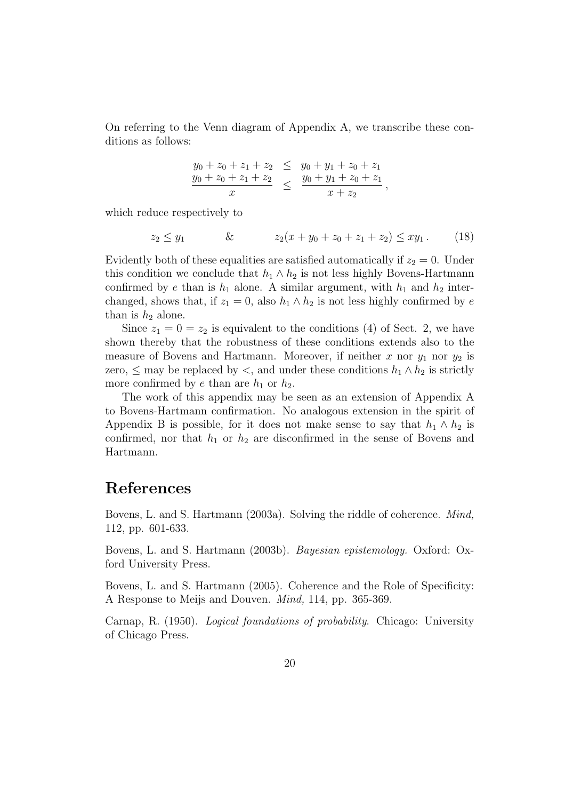On referring to the Venn diagram of Appendix A, we transcribe these conditions as follows:

$$
\frac{y_0 + z_0 + z_1 + z_2}{y_0 + z_0 + z_1 + z_2} \leq \frac{y_0 + y_1 + z_0 + z_1}{y_0 + y_1 + z_0 + z_1}
$$
\n
$$
\leq \frac{y_0 + y_1 + z_0 + z_1}{x + z_2},
$$

which reduce respectively to

$$
z_2 \le y_1 \qquad \& \qquad z_2(x + y_0 + z_0 + z_1 + z_2) \le xy_1. \tag{18}
$$

Evidently both of these equalities are satisfied automatically if  $z_2 = 0$ . Under this condition we conclude that  $h_1 \wedge h_2$  is not less highly Bovens-Hartmann confirmed by e than is  $h_1$  alone. A similar argument, with  $h_1$  and  $h_2$  interchanged, shows that, if  $z_1 = 0$ , also  $h_1 \wedge h_2$  is not less highly confirmed by e than is  $h_2$  alone.

Since  $z_1 = 0 = z_2$  is equivalent to the conditions (4) of Sect. 2, we have shown thereby that the robustness of these conditions extends also to the measure of Bovens and Hartmann. Moreover, if neither x nor  $y_1$  nor  $y_2$  is zero,  $\leq$  may be replaced by  $\lt$ , and under these conditions  $h_1 \wedge h_2$  is strictly more confirmed by e than are  $h_1$  or  $h_2$ .

The work of this appendix may be seen as an extension of Appendix A to Bovens-Hartmann confirmation. No analogous extension in the spirit of Appendix B is possible, for it does not make sense to say that  $h_1 \wedge h_2$  is confirmed, nor that  $h_1$  or  $h_2$  are disconfirmed in the sense of Bovens and Hartmann.

### References

Bovens, L. and S. Hartmann (2003a). Solving the riddle of coherence. Mind, 112, pp. 601-633.

Bovens, L. and S. Hartmann (2003b). Bayesian epistemology. Oxford: Oxford University Press.

Bovens, L. and S. Hartmann (2005). Coherence and the Role of Specificity: A Response to Meijs and Douven. Mind, 114, pp. 365-369.

Carnap, R. (1950). Logical foundations of probability. Chicago: University of Chicago Press.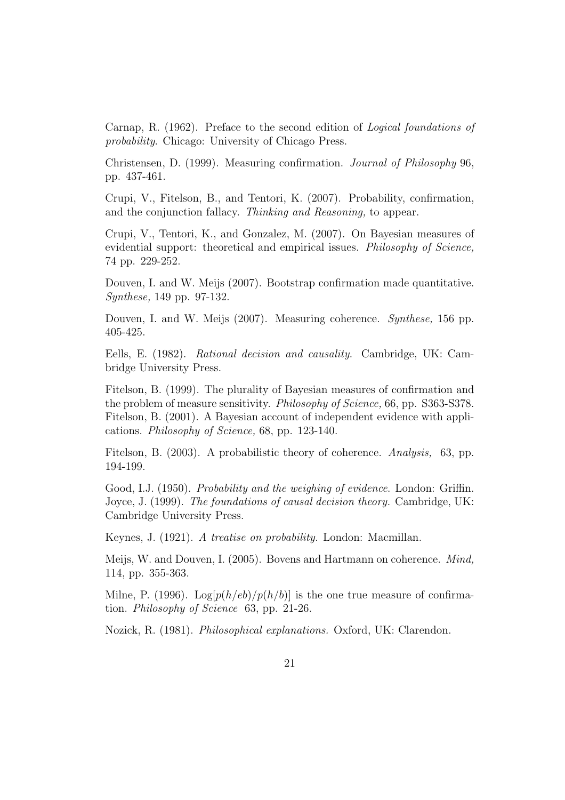Carnap, R. (1962). Preface to the second edition of Logical foundations of probability. Chicago: University of Chicago Press.

Christensen, D. (1999). Measuring confirmation. Journal of Philosophy 96, pp. 437-461.

Crupi, V., Fitelson, B., and Tentori, K. (2007). Probability, confirmation, and the conjunction fallacy. Thinking and Reasoning, to appear.

Crupi, V., Tentori, K., and Gonzalez, M. (2007). On Bayesian measures of evidential support: theoretical and empirical issues. *Philosophy of Science*, 74 pp. 229-252.

Douven, I. and W. Meijs (2007). Bootstrap confirmation made quantitative. Synthese, 149 pp. 97-132.

Douven, I. and W. Meijs (2007). Measuring coherence. Synthese, 156 pp. 405-425.

Eells, E. (1982). Rational decision and causality. Cambridge, UK: Cambridge University Press.

Fitelson, B. (1999). The plurality of Bayesian measures of confirmation and the problem of measure sensitivity. Philosophy of Science, 66, pp. S363-S378. Fitelson, B. (2001). A Bayesian account of independent evidence with applications. Philosophy of Science, 68, pp. 123-140.

Fitelson, B. (2003). A probabilistic theory of coherence. Analysis, 63, pp. 194-199.

Good, I.J. (1950). Probability and the weighing of evidence. London: Griffin. Joyce, J. (1999). The foundations of causal decision theory. Cambridge, UK: Cambridge University Press.

Keynes, J. (1921). A treatise on probability. London: Macmillan.

Meijs, W. and Douven, I. (2005). Bovens and Hartmann on coherence. Mind, 114, pp. 355-363.

Milne, P. (1996). Log[ $p(h/eb)/p(h/b)$ ] is the one true measure of confirmation. Philosophy of Science 63, pp. 21-26.

Nozick, R. (1981). Philosophical explanations. Oxford, UK: Clarendon.